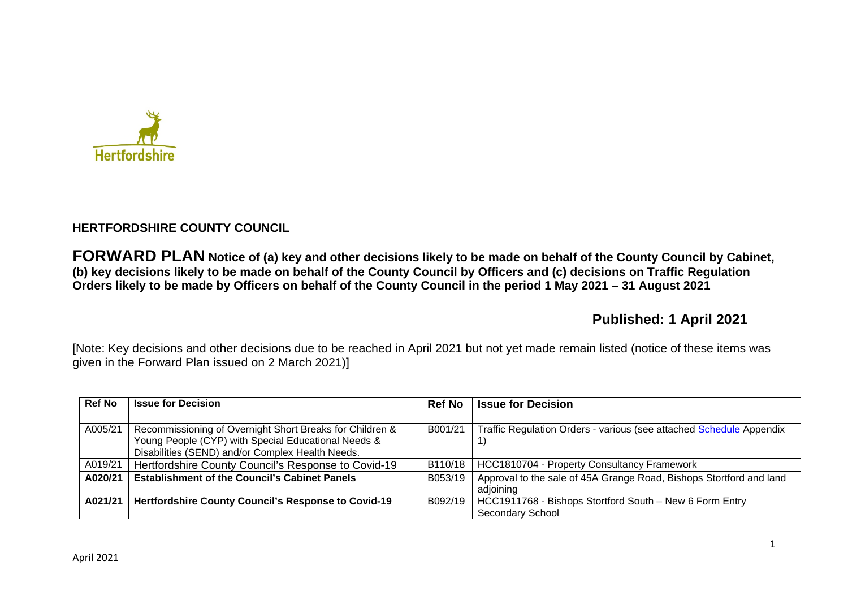

# **HERTFORDSHIRE COUNTY COUNCIL**

**FORWARD PLAN Notice of (a) key and other decisions likely to be made on behalf of the County Council by Cabinet, (b) key decisions likely to be made on behalf of the County Council by Officers and (c) decisions on Traffic Regulation Orders likely to be made by Officers on behalf of the County Council in the period 1 May 2021 – 31 August 2021** 

# **Published: 1 April 2021**

[Note: Key decisions and other decisions due to be reached in April 2021 but not yet made remain listed (notice of these items was given in the Forward Plan issued on 2 March 2021)]

| <b>Ref No</b> | <b>Issue for Decision</b>                                  | <b>Ref No</b> | <b>Issue for Decision</b>                                           |
|---------------|------------------------------------------------------------|---------------|---------------------------------------------------------------------|
|               |                                                            |               |                                                                     |
| A005/21       | Recommissioning of Overnight Short Breaks for Children &   | B001/21       | Traffic Regulation Orders - various (see attached Schedule Appendix |
|               | Young People (CYP) with Special Educational Needs &        |               |                                                                     |
|               | Disabilities (SEND) and/or Complex Health Needs.           |               |                                                                     |
| A019/21       | Hertfordshire County Council's Response to Covid-19        | B110/18       | HCC1810704 - Property Consultancy Framework                         |
| A020/21       | <b>Establishment of the Council's Cabinet Panels</b>       | B053/19       | Approval to the sale of 45A Grange Road, Bishops Stortford and land |
|               |                                                            |               | adioining                                                           |
| A021/21       | <b>Hertfordshire County Council's Response to Covid-19</b> | B092/19       | HCC1911768 - Bishops Stortford South - New 6 Form Entry             |
|               |                                                            |               | <b>Secondary School</b>                                             |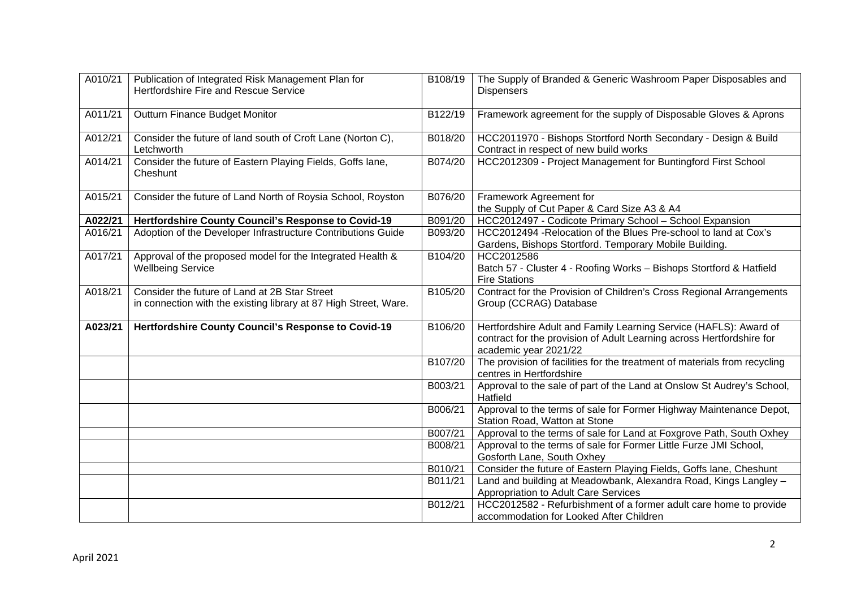| A010/21 | Publication of Integrated Risk Management Plan for<br>Hertfordshire Fire and Rescue Service                       | B108/19 | The Supply of Branded & Generic Washroom Paper Disposables and<br><b>Dispensers</b>                                                                                 |
|---------|-------------------------------------------------------------------------------------------------------------------|---------|---------------------------------------------------------------------------------------------------------------------------------------------------------------------|
| A011/21 | Outturn Finance Budget Monitor                                                                                    | B122/19 | Framework agreement for the supply of Disposable Gloves & Aprons                                                                                                    |
| A012/21 | Consider the future of land south of Croft Lane (Norton C),<br>Letchworth                                         | B018/20 | HCC2011970 - Bishops Stortford North Secondary - Design & Build<br>Contract in respect of new build works                                                           |
| A014/21 | Consider the future of Eastern Playing Fields, Goffs lane,<br>Cheshunt                                            | B074/20 | HCC2012309 - Project Management for Buntingford First School                                                                                                        |
| A015/21 | Consider the future of Land North of Roysia School, Royston                                                       | B076/20 | Framework Agreement for<br>the Supply of Cut Paper & Card Size A3 & A4                                                                                              |
| A022/21 | Hertfordshire County Council's Response to Covid-19                                                               | B091/20 | HCC2012497 - Codicote Primary School - School Expansion                                                                                                             |
| A016/21 | Adoption of the Developer Infrastructure Contributions Guide                                                      | B093/20 | HCC2012494 - Relocation of the Blues Pre-school to land at Cox's<br>Gardens, Bishops Stortford. Temporary Mobile Building.                                          |
| A017/21 | Approval of the proposed model for the Integrated Health &<br><b>Wellbeing Service</b>                            | B104/20 | HCC2012586<br>Batch 57 - Cluster 4 - Roofing Works - Bishops Stortford & Hatfield<br><b>Fire Stations</b>                                                           |
| A018/21 | Consider the future of Land at 2B Star Street<br>in connection with the existing library at 87 High Street, Ware. | B105/20 | Contract for the Provision of Children's Cross Regional Arrangements<br>Group (CCRAG) Database                                                                      |
| A023/21 | Hertfordshire County Council's Response to Covid-19                                                               | B106/20 | Hertfordshire Adult and Family Learning Service (HAFLS): Award of<br>contract for the provision of Adult Learning across Hertfordshire for<br>academic year 2021/22 |
|         |                                                                                                                   | B107/20 | The provision of facilities for the treatment of materials from recycling<br>centres in Hertfordshire                                                               |
|         |                                                                                                                   | B003/21 | Approval to the sale of part of the Land at Onslow St Audrey's School,<br>Hatfield                                                                                  |
|         |                                                                                                                   | B006/21 | Approval to the terms of sale for Former Highway Maintenance Depot,<br>Station Road, Watton at Stone                                                                |
|         |                                                                                                                   | B007/21 | Approval to the terms of sale for Land at Foxgrove Path, South Oxhey                                                                                                |
|         |                                                                                                                   | B008/21 | Approval to the terms of sale for Former Little Furze JMI School,<br>Gosforth Lane, South Oxhey                                                                     |
|         |                                                                                                                   | B010/21 | Consider the future of Eastern Playing Fields, Goffs lane, Cheshunt                                                                                                 |
|         |                                                                                                                   | B011/21 | Land and building at Meadowbank, Alexandra Road, Kings Langley -<br>Appropriation to Adult Care Services                                                            |
|         |                                                                                                                   | B012/21 | HCC2012582 - Refurbishment of a former adult care home to provide<br>accommodation for Looked After Children                                                        |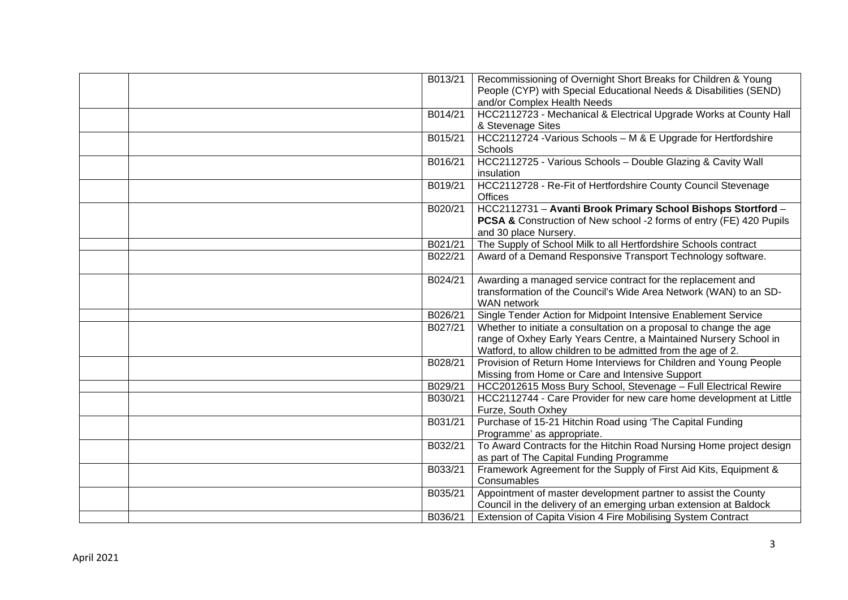| B013/21 | Recommissioning of Overnight Short Breaks for Children & Young<br>People (CYP) with Special Educational Needs & Disabilities (SEND)<br>and/or Complex Health Needs                                      |
|---------|---------------------------------------------------------------------------------------------------------------------------------------------------------------------------------------------------------|
| B014/21 | HCC2112723 - Mechanical & Electrical Upgrade Works at County Hall<br>& Stevenage Sites                                                                                                                  |
| B015/21 | HCC2112724 -Various Schools - M & E Upgrade for Hertfordshire<br>Schools                                                                                                                                |
| B016/21 | HCC2112725 - Various Schools - Double Glazing & Cavity Wall<br>insulation                                                                                                                               |
| B019/21 | HCC2112728 - Re-Fit of Hertfordshire County Council Stevenage<br>Offices                                                                                                                                |
| B020/21 | HCC2112731 - Avanti Brook Primary School Bishops Stortford -<br>PCSA & Construction of New school -2 forms of entry (FE) 420 Pupils<br>and 30 place Nursery.                                            |
| B021/21 | The Supply of School Milk to all Hertfordshire Schools contract                                                                                                                                         |
| B022/21 | Award of a Demand Responsive Transport Technology software.                                                                                                                                             |
| B024/21 | Awarding a managed service contract for the replacement and<br>transformation of the Council's Wide Area Network (WAN) to an SD-<br><b>WAN</b> network                                                  |
| B026/21 | Single Tender Action for Midpoint Intensive Enablement Service                                                                                                                                          |
| B027/21 | Whether to initiate a consultation on a proposal to change the age<br>range of Oxhey Early Years Centre, a Maintained Nursery School in<br>Watford, to allow children to be admitted from the age of 2. |
| B028/21 | Provision of Return Home Interviews for Children and Young People<br>Missing from Home or Care and Intensive Support                                                                                    |
| B029/21 | HCC2012615 Moss Bury School, Stevenage - Full Electrical Rewire                                                                                                                                         |
| B030/21 | HCC2112744 - Care Provider for new care home development at Little<br>Furze, South Oxhey                                                                                                                |
| B031/21 | Purchase of 15-21 Hitchin Road using 'The Capital Funding<br>Programme' as appropriate.                                                                                                                 |
| B032/21 | To Award Contracts for the Hitchin Road Nursing Home project design<br>as part of The Capital Funding Programme                                                                                         |
| B033/21 | Framework Agreement for the Supply of First Aid Kits, Equipment &<br>Consumables                                                                                                                        |
| B035/21 | Appointment of master development partner to assist the County<br>Council in the delivery of an emerging urban extension at Baldock                                                                     |
| B036/21 | Extension of Capita Vision 4 Fire Mobilising System Contract                                                                                                                                            |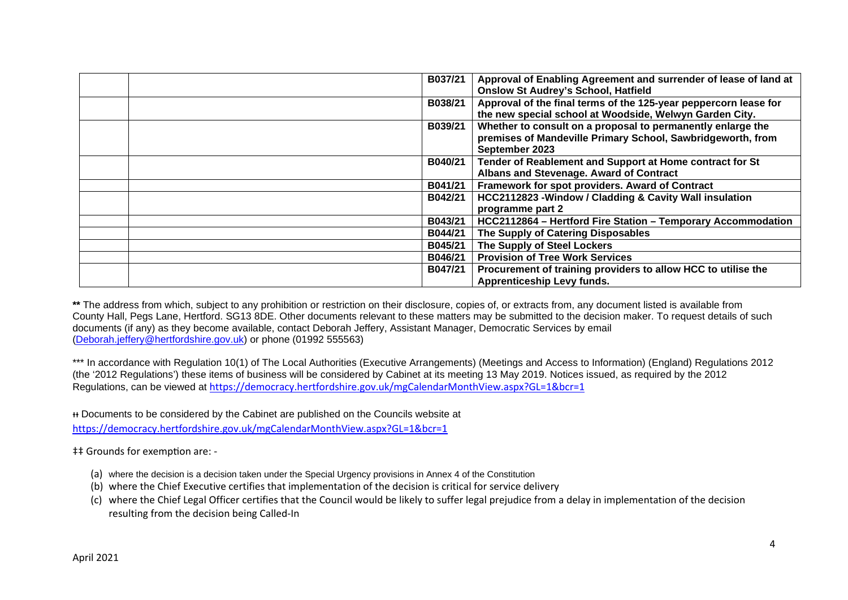| Approval of Enabling Agreement and surrender of lease of land at<br>B037/21<br><b>Onslow St Audrey's School, Hatfield</b>                               |
|---------------------------------------------------------------------------------------------------------------------------------------------------------|
| Approval of the final terms of the 125-year peppercorn lease for<br>B038/21<br>the new special school at Woodside, Welwyn Garden City.                  |
| Whether to consult on a proposal to permanently enlarge the<br>B039/21<br>premises of Mandeville Primary School, Sawbridgeworth, from<br>September 2023 |
| Tender of Reablement and Support at Home contract for St<br>B040/21<br>Albans and Stevenage. Award of Contract                                          |
| Framework for spot providers. Award of Contract<br>B041/21                                                                                              |
| HCC2112823 - Window / Cladding & Cavity Wall insulation<br>B042/21<br>programme part 2                                                                  |
| B043/21<br>HCC2112864 - Hertford Fire Station - Temporary Accommodation                                                                                 |
| The Supply of Catering Disposables<br>B044/21                                                                                                           |
| The Supply of Steel Lockers<br>B045/21                                                                                                                  |
| <b>Provision of Tree Work Services</b><br>B046/21                                                                                                       |
| Procurement of training providers to allow HCC to utilise the<br>B047/21<br><b>Apprenticeship Levy funds.</b>                                           |

**\*\*** The address from which, subject to any prohibition or restriction on their disclosure, copies of, or extracts from, any document listed is available from County Hall, Pegs Lane, Hertford. SG13 8DE. Other documents relevant to these matters may be submitted to the decision maker. To request details of such documents (if any) as they become available, contact Deborah Jeffery, Assistant Manager, Democratic Services by email (Deborah.jeffery@hertfordshire.gov.uk) or phone (01992 555563)

\*\*\* In accordance with Regulation 10(1) of The Local Authorities (Executive Arrangements) (Meetings and Access to Information) (England) Regulations 2012 (the '2012 Regulations') these items of business will be considered by Cabinet at its meeting 13 May 2019. Notices issued, as required by the 2012 Regulations, can be viewed at https://democracy.hertfordshire.gov.uk/mgCalendarMonthView.aspx?GL=1&bcr=1

ᵻᵻ Documents to be considered by the Cabinet are published on the Councils website at https://democracy.hertfordshire.gov.uk/mgCalendarMonthView.aspx?GL=1&bcr=1

 $\ddagger$ ‡ Grounds for exemption are: -

- (a) where the decision is a decision taken under the Special Urgency provisions in Annex 4 of the Constitution
- (b) where the Chief Executive certifies that implementation of the decision is critical for service delivery
- (c) where the Chief Legal Officer certifies that the Council would be likely to suffer legal prejudice from a delay in implementation of the decision resulting from the decision being Called-In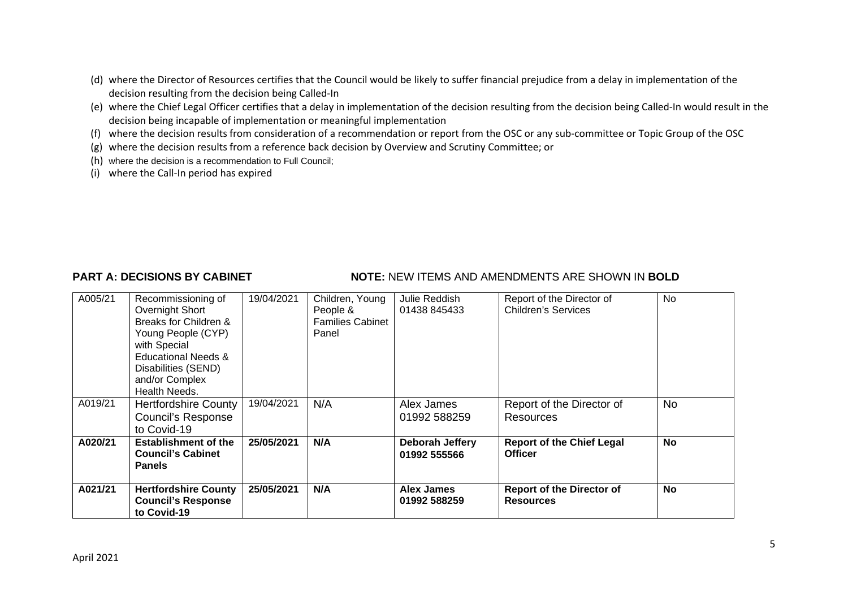- (d) where the Director of Resources certifies that the Council would be likely to suffer financial prejudice from a delay in implementation of the decision resulting from the decision being Called-In
- (e) where the Chief Legal Officer certifies that a delay in implementation of the decision resulting from the decision being Called-In would result in the decision being incapable of implementation or meaningful implementation
- (f) where the decision results from consideration of a recommendation or report from the OSC or any sub-committee or Topic Group of the OSC
- (g) where the decision results from a reference back decision by Overview and Scrutiny Committee; or
- (h) where the decision is a recommendation to Full Council;
- (i) where the Call-In period has expired

## **PART A: DECISIONS BY CABINET NOTE:** NEW ITEMS AND AMENDMENTS ARE SHOWN IN BOLD

| A005/21 | Recommissioning of<br>Overnight Short<br>Breaks for Children &<br>Young People (CYP)<br>with Special<br>Educational Needs &<br>Disabilities (SEND)<br>and/or Complex<br>Health Needs. | 19/04/2021 | Children, Young<br>People &<br><b>Families Cabinet</b><br>Panel | Julie Reddish<br>01438 845433     | Report of the Director of<br><b>Children's Services</b> | No.       |
|---------|---------------------------------------------------------------------------------------------------------------------------------------------------------------------------------------|------------|-----------------------------------------------------------------|-----------------------------------|---------------------------------------------------------|-----------|
| A019/21 | <b>Hertfordshire County</b><br><b>Council's Response</b><br>to Covid-19                                                                                                               | 19/04/2021 | N/A                                                             | Alex James<br>01992 588259        | Report of the Director of<br><b>Resources</b>           | <b>No</b> |
| A020/21 | <b>Establishment of the</b><br><b>Council's Cabinet</b><br><b>Panels</b>                                                                                                              | 25/05/2021 | N/A                                                             | Deborah Jeffery<br>01992 555566   | <b>Report of the Chief Legal</b><br><b>Officer</b>      | No        |
| A021/21 | <b>Hertfordshire County</b><br><b>Council's Response</b><br>to Covid-19                                                                                                               | 25/05/2021 | N/A                                                             | <b>Alex James</b><br>01992 588259 | <b>Report of the Director of</b><br><b>Resources</b>    | No        |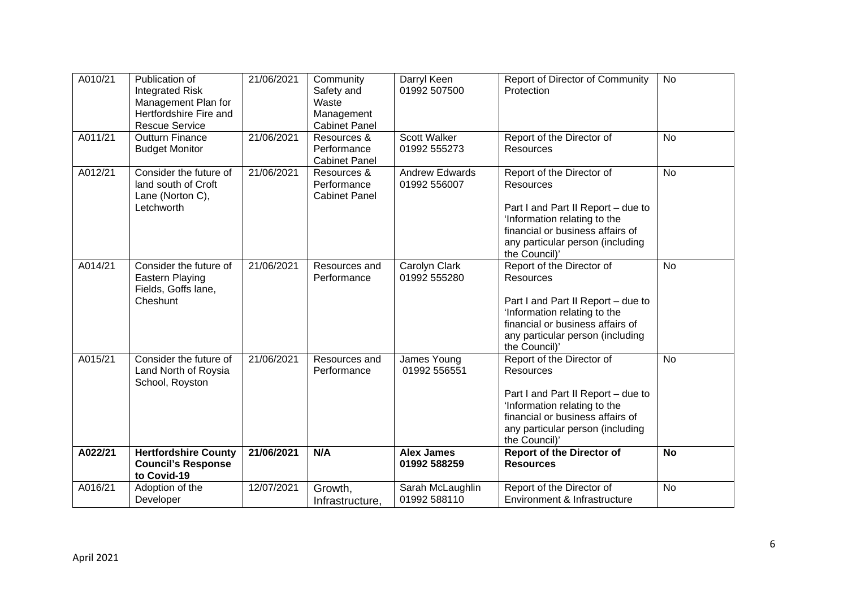| A010/21 | Publication of<br><b>Integrated Risk</b><br>Management Plan for<br>Hertfordshire Fire and<br><b>Rescue Service</b> | 21/06/2021 | Community<br>Safety and<br>Waste<br>Management<br><b>Cabinet Panel</b> | Darryl Keen<br>01992 507500           | Report of Director of Community<br>Protection                                                                                                                                                                | <b>No</b> |
|---------|--------------------------------------------------------------------------------------------------------------------|------------|------------------------------------------------------------------------|---------------------------------------|--------------------------------------------------------------------------------------------------------------------------------------------------------------------------------------------------------------|-----------|
| A011/21 | <b>Outturn Finance</b><br><b>Budget Monitor</b>                                                                    | 21/06/2021 | Resources &<br>Performance<br><b>Cabinet Panel</b>                     | <b>Scott Walker</b><br>01992 555273   | Report of the Director of<br>Resources                                                                                                                                                                       | <b>No</b> |
| A012/21 | Consider the future of<br>land south of Croft<br>Lane (Norton C),<br>Letchworth                                    | 21/06/2021 | Resources &<br>Performance<br><b>Cabinet Panel</b>                     | <b>Andrew Edwards</b><br>01992 556007 | Report of the Director of<br><b>Resources</b><br>Part I and Part II Report - due to<br>'Information relating to the<br>financial or business affairs of<br>any particular person (including<br>the Council)' | <b>No</b> |
| A014/21 | Consider the future of<br><b>Eastern Playing</b><br>Fields, Goffs lane,<br>Cheshunt                                | 21/06/2021 | Resources and<br>Performance                                           | Carolyn Clark<br>01992 555280         | Report of the Director of<br><b>Resources</b><br>Part I and Part II Report - due to<br>'Information relating to the<br>financial or business affairs of<br>any particular person (including<br>the Council)' | <b>No</b> |
| A015/21 | Consider the future of<br>Land North of Roysia<br>School, Royston                                                  | 21/06/2021 | Resources and<br>Performance                                           | James Young<br>01992 556551           | Report of the Director of<br><b>Resources</b><br>Part I and Part II Report - due to<br>'Information relating to the<br>financial or business affairs of<br>any particular person (including<br>the Council)' | <b>No</b> |
| A022/21 | <b>Hertfordshire County</b><br><b>Council's Response</b><br>to Covid-19                                            | 21/06/2021 | N/A                                                                    | <b>Alex James</b><br>01992 588259     | <b>Report of the Director of</b><br><b>Resources</b>                                                                                                                                                         | <b>No</b> |
| A016/21 | Adoption of the<br>Developer                                                                                       | 12/07/2021 | Growth,<br>Infrastructure,                                             | Sarah McLaughlin<br>01992 588110      | Report of the Director of<br>Environment & Infrastructure                                                                                                                                                    | <b>No</b> |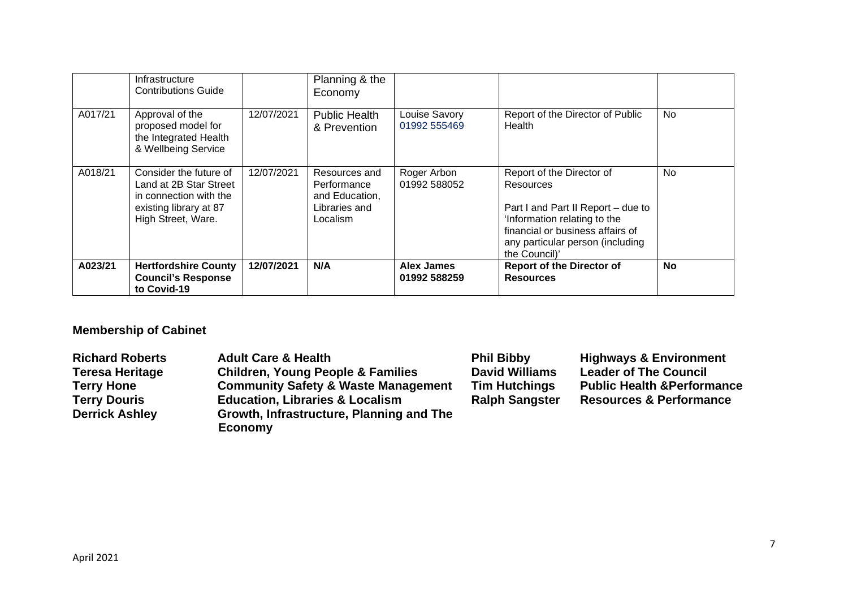|         | Infrastructure<br><b>Contributions Guide</b>                                                                               |            | Planning & the<br>Economy                                                   |                               |                                                                                                                                                                                                              |     |
|---------|----------------------------------------------------------------------------------------------------------------------------|------------|-----------------------------------------------------------------------------|-------------------------------|--------------------------------------------------------------------------------------------------------------------------------------------------------------------------------------------------------------|-----|
| A017/21 | Approval of the<br>proposed model for<br>the Integrated Health<br>& Wellbeing Service                                      | 12/07/2021 | <b>Public Health</b><br>& Prevention                                        | Louise Savory<br>01992 555469 | Report of the Director of Public<br>Health                                                                                                                                                                   | No. |
| A018/21 | Consider the future of<br>Land at 2B Star Street<br>in connection with the<br>existing library at 87<br>High Street, Ware. | 12/07/2021 | Resources and<br>Performance<br>and Education,<br>Libraries and<br>Localism | Roger Arbon<br>01992 588052   | Report of the Director of<br><b>Resources</b><br>Part I and Part II Report – due to<br>'Information relating to the<br>financial or business affairs of<br>any particular person (including<br>the Council)' | No. |
| A023/21 | <b>Hertfordshire County</b><br><b>Council's Response</b><br>to Covid-19                                                    | 12/07/2021 | N/A                                                                         | Alex James<br>01992 588259    | <b>Report of the Director of</b><br><b>Resources</b>                                                                                                                                                         | No  |

# **Membership of Cabinet**

| <b>Richard Roberts</b> | <b>Adult Care &amp; Health</b>                 | <b>Phil Bibby</b>     | <b>Highways &amp; Environment</b>      |
|------------------------|------------------------------------------------|-----------------------|----------------------------------------|
| Teresa Heritage        | <b>Children, Young People &amp; Families</b>   | <b>David Williams</b> | <b>Leader of The Council</b>           |
| Terry Hone             | <b>Community Safety &amp; Waste Management</b> | <b>Tim Hutchings</b>  | <b>Public Health &amp; Performance</b> |
| <b>Terry Douris</b>    | <b>Education, Libraries &amp; Localism</b>     | <b>Ralph Sangster</b> | <b>Resources &amp; Performance</b>     |
| <b>Derrick Ashley</b>  | Growth, Infrastructure, Planning and The       |                       |                                        |
|                        | Economy                                        |                       |                                        |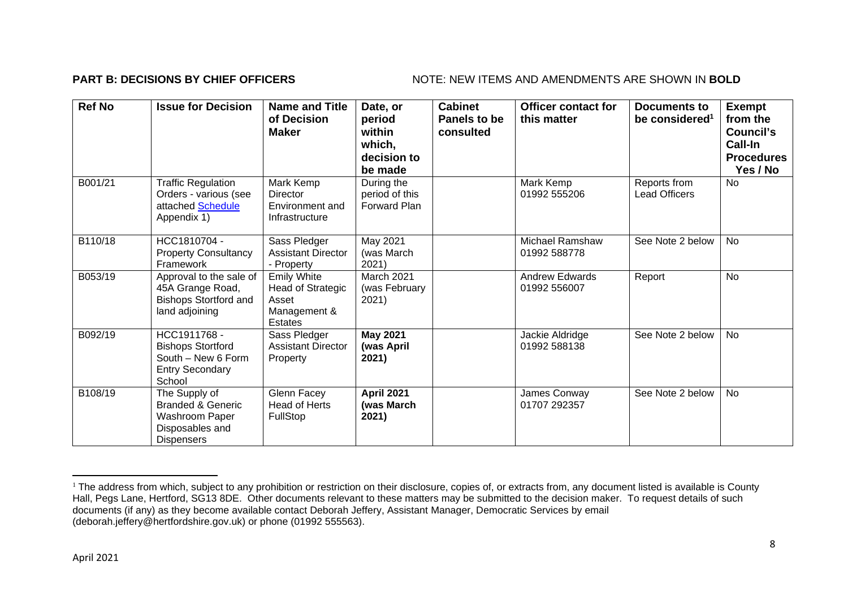### **PART B: DECISIONS BY CHIEF OFFICERS** NOTE: NEW ITEMS AND AMENDMENTS ARE SHOWN IN BOLD

| <b>Ref No</b> | <b>Issue for Decision</b>                                                                               | <b>Name and Title</b><br>of Decision<br><b>Maker</b>                        | Date, or<br>period<br>within<br>which,<br>decision to<br>be made | <b>Cabinet</b><br>Panels to be<br>consulted | <b>Officer contact for</b><br>this matter | <b>Documents to</b><br>be considered <sup>1</sup> | <b>Exempt</b><br>from the<br>Council's<br>Call-In<br><b>Procedures</b><br>Yes / No |
|---------------|---------------------------------------------------------------------------------------------------------|-----------------------------------------------------------------------------|------------------------------------------------------------------|---------------------------------------------|-------------------------------------------|---------------------------------------------------|------------------------------------------------------------------------------------|
| B001/21       | <b>Traffic Regulation</b><br>Orders - various (see<br>attached Schedule<br>Appendix 1)                  | Mark Kemp<br>Director<br>Environment and<br>Infrastructure                  | During the<br>period of this<br><b>Forward Plan</b>              |                                             | Mark Kemp<br>01992 555206                 | Reports from<br><b>Lead Officers</b>              | <b>No</b>                                                                          |
| B110/18       | HCC1810704 -<br><b>Property Consultancy</b><br>Framework                                                | Sass Pledger<br><b>Assistant Director</b><br>- Property                     | May 2021<br>(was March<br>2021)                                  |                                             | Michael Ramshaw<br>01992 588778           | See Note 2 below                                  | <b>No</b>                                                                          |
| B053/19       | Approval to the sale of<br>45A Grange Road,<br><b>Bishops Stortford and</b><br>land adjoining           | <b>Emily White</b><br>Head of Strategic<br>Asset<br>Management &<br>Estates | March 2021<br>(was February<br>2021)                             |                                             | <b>Andrew Edwards</b><br>01992 556007     | Report                                            | <b>No</b>                                                                          |
| B092/19       | HCC1911768 -<br><b>Bishops Stortford</b><br>South - New 6 Form<br><b>Entry Secondary</b><br>School      | Sass Pledger<br><b>Assistant Director</b><br>Property                       | <b>May 2021</b><br>(was April<br>2021)                           |                                             | Jackie Aldridge<br>01992 588138           | See Note 2 below                                  | <b>No</b>                                                                          |
| B108/19       | The Supply of<br><b>Branded &amp; Generic</b><br>Washroom Paper<br>Disposables and<br><b>Dispensers</b> | Glenn Facey<br><b>Head of Herts</b><br>FullStop                             | <b>April 2021</b><br>(was March<br>2021)                         |                                             | James Conway<br>01707 292357              | See Note 2 below                                  | No                                                                                 |

<sup>&</sup>lt;sup>1</sup> The address from which, subject to any prohibition or restriction on their disclosure, copies of, or extracts from, any document listed is available is County Hall, Pegs Lane, Hertford, SG13 8DE. Other documents relevant to these matters may be submitted to the decision maker. To request details of such documents (if any) as they become available contact Deborah Jeffery, Assistant Manager, Democratic Services by email (deborah.jeffery@hertfordshire.gov.uk) or phone (01992 555563).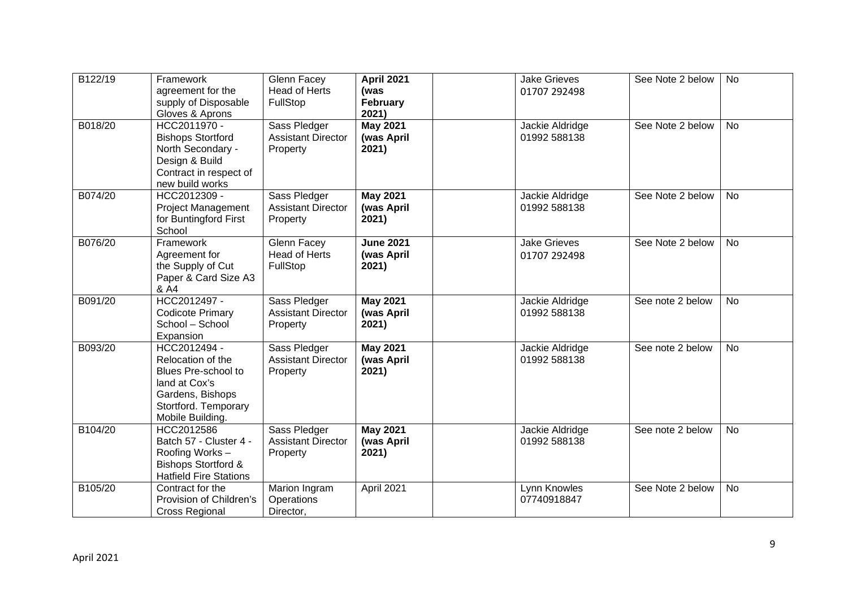| B122/19 | Framework                                                                                                                                 | Glenn Facey                                           | <b>April 2021</b>                       | <b>Jake Grieves</b>                 | See Note 2 below | <b>No</b> |
|---------|-------------------------------------------------------------------------------------------------------------------------------------------|-------------------------------------------------------|-----------------------------------------|-------------------------------------|------------------|-----------|
|         | agreement for the<br>supply of Disposable<br>Gloves & Aprons                                                                              | <b>Head of Herts</b><br>FullStop                      | (was<br>February<br>2021)               | 01707 292498                        |                  |           |
| B018/20 | HCC2011970 -<br><b>Bishops Stortford</b><br>North Secondary -<br>Design & Build<br>Contract in respect of<br>new build works              | Sass Pledger<br><b>Assistant Director</b><br>Property | <b>May 2021</b><br>(was April<br>2021)  | Jackie Aldridge<br>01992 588138     | See Note 2 below | <b>No</b> |
| B074/20 | HCC2012309 -<br><b>Project Management</b><br>for Buntingford First<br>School                                                              | Sass Pledger<br><b>Assistant Director</b><br>Property | <b>May 2021</b><br>(was April<br>2021)  | Jackie Aldridge<br>01992 588138     | See Note 2 below | <b>No</b> |
| B076/20 | Framework<br>Agreement for<br>the Supply of Cut<br>Paper & Card Size A3<br>& A4                                                           | Glenn Facey<br>Head of Herts<br>FullStop              | <b>June 2021</b><br>(was April<br>2021) | <b>Jake Grieves</b><br>01707 292498 | See Note 2 below | <b>No</b> |
| B091/20 | HCC2012497 -<br><b>Codicote Primary</b><br>School - School<br>Expansion                                                                   | Sass Pledger<br><b>Assistant Director</b><br>Property | <b>May 2021</b><br>(was April<br>2021)  | Jackie Aldridge<br>01992 588138     | See note 2 below | No        |
| B093/20 | HCC2012494 -<br>Relocation of the<br>Blues Pre-school to<br>land at Cox's<br>Gardens, Bishops<br>Stortford. Temporary<br>Mobile Building. | Sass Pledger<br><b>Assistant Director</b><br>Property | <b>May 2021</b><br>(was April<br>2021)  | Jackie Aldridge<br>01992 588138     | See note 2 below | <b>No</b> |
| B104/20 | HCC2012586<br>Batch 57 - Cluster 4 -<br>Roofing Works-<br><b>Bishops Stortford &amp;</b><br><b>Hatfield Fire Stations</b>                 | Sass Pledger<br><b>Assistant Director</b><br>Property | <b>May 2021</b><br>(was April<br>2021)  | Jackie Aldridge<br>01992 588138     | See note 2 below | <b>No</b> |
| B105/20 | Contract for the<br>Provision of Children's<br><b>Cross Regional</b>                                                                      | Marion Ingram<br>Operations<br>Director,              | April 2021                              | Lynn Knowles<br>07740918847         | See Note 2 below | <b>No</b> |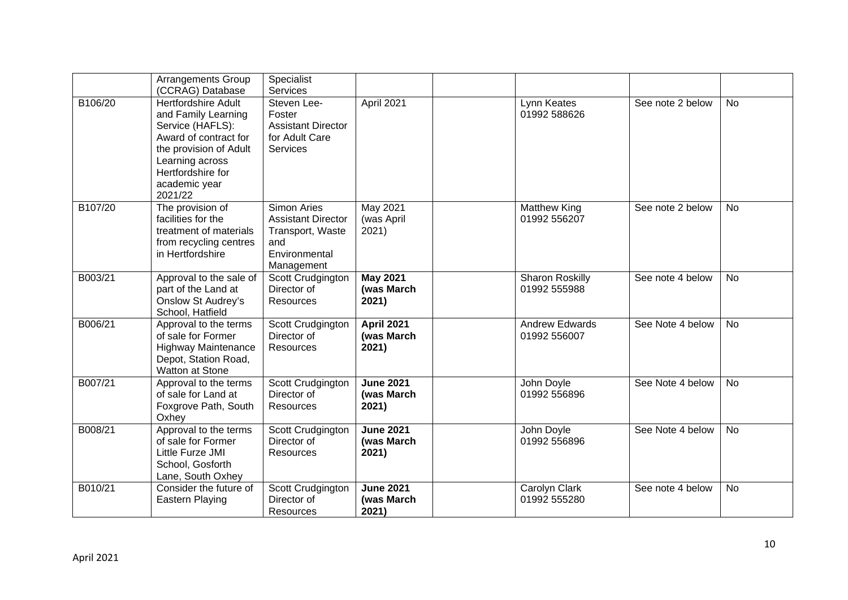|         | <b>Arrangements Group</b><br>(CCRAG) Database                                                                                                                                                | Specialist<br><b>Services</b>                                                                      |                                          |                                       |                  |           |
|---------|----------------------------------------------------------------------------------------------------------------------------------------------------------------------------------------------|----------------------------------------------------------------------------------------------------|------------------------------------------|---------------------------------------|------------------|-----------|
| B106/20 | <b>Hertfordshire Adult</b><br>and Family Learning<br>Service (HAFLS):<br>Award of contract for<br>the provision of Adult<br>Learning across<br>Hertfordshire for<br>academic year<br>2021/22 | Steven Lee-<br>Foster<br><b>Assistant Director</b><br>for Adult Care<br>Services                   | April 2021                               | Lynn Keates<br>01992 588626           | See note 2 below | <b>No</b> |
| B107/20 | The provision of<br>facilities for the<br>treatment of materials<br>from recycling centres<br>in Hertfordshire                                                                               | Simon Aries<br><b>Assistant Director</b><br>Transport, Waste<br>and<br>Environmental<br>Management | May 2021<br>(was April<br>2021)          | Matthew King<br>01992 556207          | See note 2 below | <b>No</b> |
| B003/21 | Approval to the sale of<br>part of the Land at<br><b>Onslow St Audrey's</b><br>School, Hatfield                                                                                              | Scott Crudgington<br>Director of<br>Resources                                                      | <b>May 2021</b><br>(was March<br>2021)   | Sharon Roskilly<br>01992 555988       | See note 4 below | <b>No</b> |
| B006/21 | Approval to the terms<br>of sale for Former<br><b>Highway Maintenance</b><br>Depot, Station Road,<br><b>Watton at Stone</b>                                                                  | Scott Crudgington<br>Director of<br>Resources                                                      | <b>April 2021</b><br>(was March<br>2021) | <b>Andrew Edwards</b><br>01992 556007 | See Note 4 below | <b>No</b> |
| B007/21 | Approval to the terms<br>of sale for Land at<br>Foxgrove Path, South<br>Oxhey                                                                                                                | Scott Crudgington<br>Director of<br>Resources                                                      | <b>June 2021</b><br>(was March<br>2021)  | John Doyle<br>01992 556896            | See Note 4 below | <b>No</b> |
| B008/21 | Approval to the terms<br>of sale for Former<br>Little Furze JMI<br>School, Gosforth<br>Lane, South Oxhey                                                                                     | Scott Crudgington<br>Director of<br>Resources                                                      | <b>June 2021</b><br>(was March<br>2021)  | John Doyle<br>01992 556896            | See Note 4 below | <b>No</b> |
| B010/21 | Consider the future of<br>Eastern Playing                                                                                                                                                    | Scott Crudgington<br>Director of<br><b>Resources</b>                                               | <b>June 2021</b><br>(was March<br>2021)  | Carolyn Clark<br>01992 555280         | See note 4 below | <b>No</b> |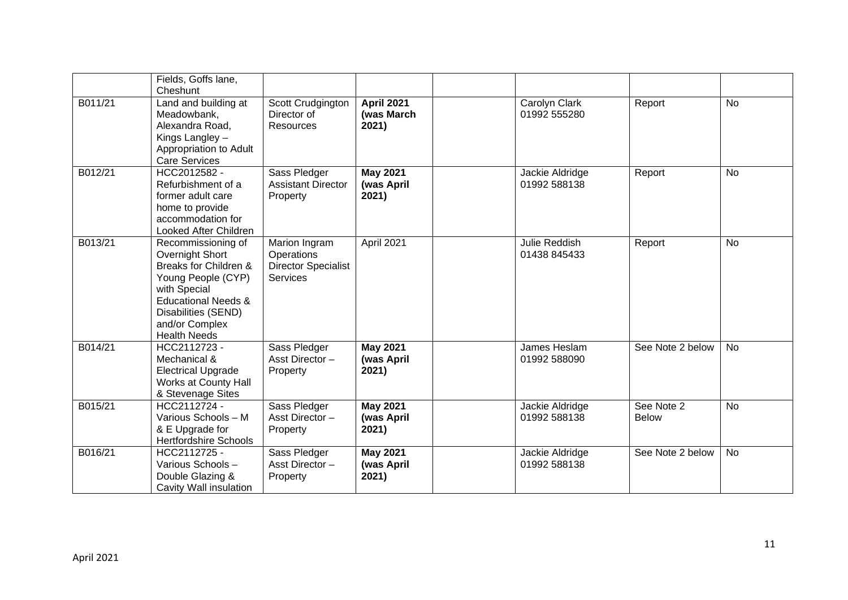|         | Fields, Goffs lane,<br>Cheshunt                                                                                                                                                                        |                                                                       |                                          |                                 |                            |           |
|---------|--------------------------------------------------------------------------------------------------------------------------------------------------------------------------------------------------------|-----------------------------------------------------------------------|------------------------------------------|---------------------------------|----------------------------|-----------|
| B011/21 | Land and building at<br>Meadowbank,<br>Alexandra Road,<br>Kings Langley -<br>Appropriation to Adult<br><b>Care Services</b>                                                                            | Scott Crudgington<br>Director of<br>Resources                         | <b>April 2021</b><br>(was March<br>2021) | Carolyn Clark<br>01992 555280   | Report                     | <b>No</b> |
| B012/21 | HCC2012582 -<br>Refurbishment of a<br>former adult care<br>home to provide<br>accommodation for<br>Looked After Children                                                                               | Sass Pledger<br><b>Assistant Director</b><br>Property                 | <b>May 2021</b><br>(was April<br>2021)   | Jackie Aldridge<br>01992 588138 | Report                     | No        |
| B013/21 | Recommissioning of<br>Overnight Short<br>Breaks for Children &<br>Young People (CYP)<br>with Special<br><b>Educational Needs &amp;</b><br>Disabilities (SEND)<br>and/or Complex<br><b>Health Needs</b> | Marion Ingram<br>Operations<br><b>Director Specialist</b><br>Services | April 2021                               | Julie Reddish<br>01438 845433   | Report                     | <b>No</b> |
| B014/21 | HCC2112723 -<br>Mechanical &<br><b>Electrical Upgrade</b><br>Works at County Hall<br>& Stevenage Sites                                                                                                 | Sass Pledger<br>Asst Director-<br>Property                            | <b>May 2021</b><br>(was April<br>2021)   | James Heslam<br>01992 588090    | See Note 2 below           | <b>No</b> |
| B015/21 | HCC2112724 -<br>Various Schools - M<br>& E Upgrade for<br><b>Hertfordshire Schools</b>                                                                                                                 | Sass Pledger<br>Asst Director-<br>Property                            | <b>May 2021</b><br>(was April<br>2021)   | Jackie Aldridge<br>01992 588138 | See Note 2<br><b>Below</b> | <b>No</b> |
| B016/21 | HCC2112725 -<br>Various Schools-<br>Double Glazing &<br>Cavity Wall insulation                                                                                                                         | Sass Pledger<br>Asst Director-<br>Property                            | <b>May 2021</b><br>(was April<br>2021)   | Jackie Aldridge<br>01992 588138 | See Note 2 below           | <b>No</b> |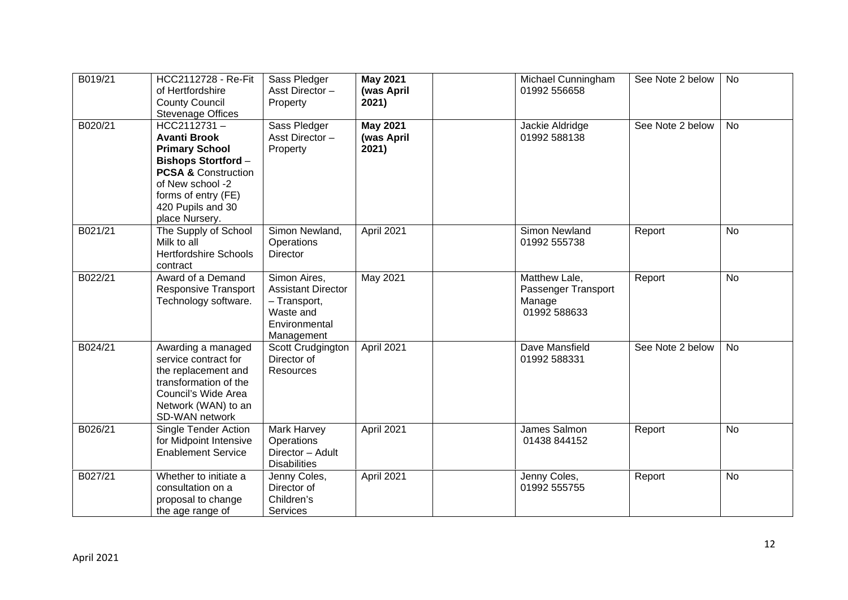| B019/21 | HCC2112728 - Re-Fit<br>of Hertfordshire<br><b>County Council</b><br><b>Stevenage Offices</b>                                                                                                                 | Sass Pledger<br>Asst Director-<br>Property                                                            | <b>May 2021</b><br>(was April<br>2021) | Michael Cunningham<br>01992 556658                             | See Note 2 below | <b>No</b> |
|---------|--------------------------------------------------------------------------------------------------------------------------------------------------------------------------------------------------------------|-------------------------------------------------------------------------------------------------------|----------------------------------------|----------------------------------------------------------------|------------------|-----------|
| B020/21 | HCC2112731-<br><b>Avanti Brook</b><br><b>Primary School</b><br><b>Bishops Stortford-</b><br><b>PCSA &amp; Construction</b><br>of New school -2<br>forms of entry (FE)<br>420 Pupils and 30<br>place Nursery. | Sass Pledger<br>Asst Director-<br>Property                                                            | <b>May 2021</b><br>(was April<br>2021) | Jackie Aldridge<br>01992 588138                                | See Note 2 below | <b>No</b> |
| B021/21 | The Supply of School<br>Milk to all<br><b>Hertfordshire Schools</b><br>contract                                                                                                                              | Simon Newland,<br>Operations<br>Director                                                              | April 2021                             | Simon Newland<br>01992 555738                                  | Report           | <b>No</b> |
| B022/21 | Award of a Demand<br>Responsive Transport<br>Technology software.                                                                                                                                            | Simon Aires,<br><b>Assistant Director</b><br>- Transport,<br>Waste and<br>Environmental<br>Management | May 2021                               | Matthew Lale,<br>Passenger Transport<br>Manage<br>01992 588633 | Report           | <b>No</b> |
| B024/21 | Awarding a managed<br>service contract for<br>the replacement and<br>transformation of the<br>Council's Wide Area<br>Network (WAN) to an<br>SD-WAN network                                                   | Scott Crudgington<br>Director of<br><b>Resources</b>                                                  | April 2021                             | Dave Mansfield<br>01992 588331                                 | See Note 2 below | <b>No</b> |
| B026/21 | Single Tender Action<br>for Midpoint Intensive<br><b>Enablement Service</b>                                                                                                                                  | Mark Harvey<br>Operations<br>Director - Adult<br><b>Disabilities</b>                                  | April 2021                             | James Salmon<br>01438 844152                                   | Report           | No        |
| B027/21 | Whether to initiate a<br>consultation on a<br>proposal to change<br>the age range of                                                                                                                         | Jenny Coles,<br>Director of<br>Children's<br><b>Services</b>                                          | April 2021                             | Jenny Coles,<br>01992 555755                                   | Report           | No        |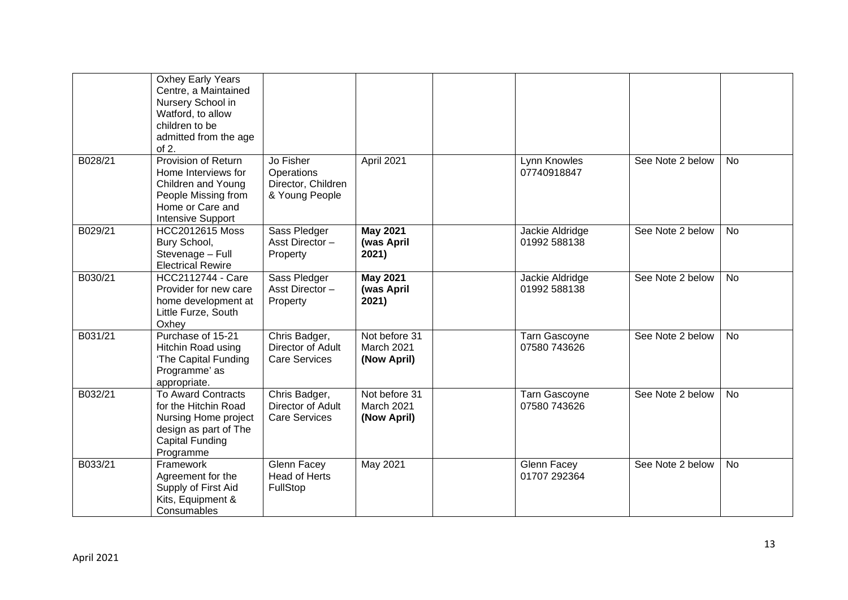|         | Oxhey Early Years<br>Centre, a Maintained<br>Nursery School in<br>Watford, to allow<br>children to be<br>admitted from the age<br>of 2.   |                                                                        |                                            |                                      |                  |           |
|---------|-------------------------------------------------------------------------------------------------------------------------------------------|------------------------------------------------------------------------|--------------------------------------------|--------------------------------------|------------------|-----------|
| B028/21 | Provision of Return<br>Home Interviews for<br>Children and Young<br>People Missing from<br>Home or Care and<br><b>Intensive Support</b>   | Jo Fisher<br><b>Operations</b><br>Director, Children<br>& Young People | April 2021                                 | Lynn Knowles<br>07740918847          | See Note 2 below | <b>No</b> |
| B029/21 | <b>HCC2012615 Moss</b><br>Bury School,<br>Stevenage - Full<br><b>Electrical Rewire</b>                                                    | Sass Pledger<br>Asst Director-<br>Property                             | <b>May 2021</b><br>(was April<br>2021)     | Jackie Aldridge<br>01992 588138      | See Note 2 below | <b>No</b> |
| B030/21 | HCC2112744 - Care<br>Provider for new care<br>home development at<br>Little Furze, South<br>Oxhey                                         | Sass Pledger<br>Asst Director-<br>Property                             | <b>May 2021</b><br>(was April<br>2021)     | Jackie Aldridge<br>01992 588138      | See Note 2 below | <b>No</b> |
| B031/21 | Purchase of 15-21<br>Hitchin Road using<br>'The Capital Funding<br>Programme' as<br>appropriate.                                          | Chris Badger,<br>Director of Adult<br><b>Care Services</b>             | Not before 31<br>March 2021<br>(Now April) | <b>Tarn Gascoyne</b><br>07580 743626 | See Note 2 below | <b>No</b> |
| B032/21 | <b>To Award Contracts</b><br>for the Hitchin Road<br>Nursing Home project<br>design as part of The<br><b>Capital Funding</b><br>Programme | Chris Badger,<br>Director of Adult<br><b>Care Services</b>             | Not before 31<br>March 2021<br>(Now April) | <b>Tarn Gascoyne</b><br>07580 743626 | See Note 2 below | <b>No</b> |
| B033/21 | Framework<br>Agreement for the<br>Supply of First Aid<br>Kits, Equipment &<br>Consumables                                                 | <b>Glenn Facey</b><br>Head of Herts<br>FullStop                        | May 2021                                   | Glenn Facey<br>01707 292364          | See Note 2 below | No        |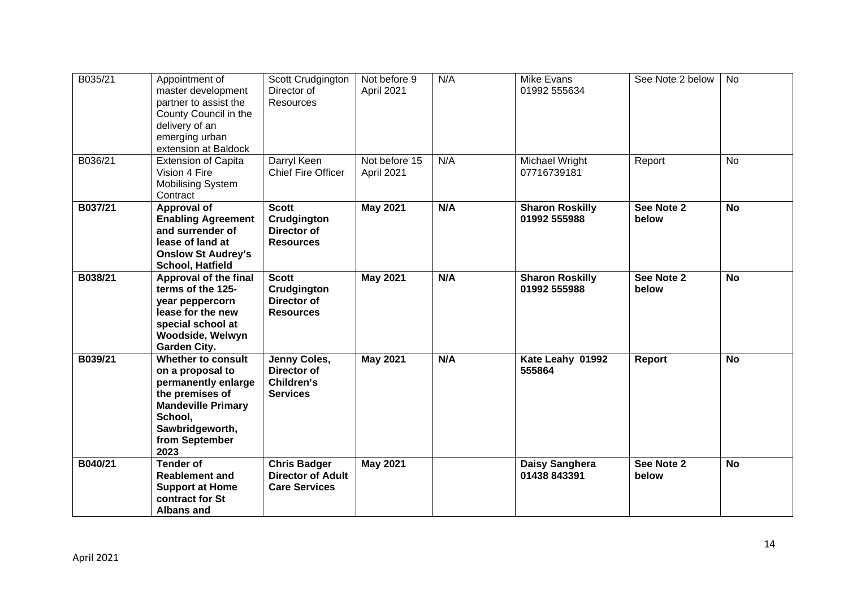| B035/21 | Appointment of<br>master development<br>partner to assist the<br>County Council in the<br>delivery of an<br>emerging urban<br>extension at Baldock                    | Scott Crudgington<br>Director of<br><b>Resources</b>                    | Not before 9<br>April 2021  | N/A | Mike Evans<br>01992 555634             | See Note 2 below    | <b>No</b> |
|---------|-----------------------------------------------------------------------------------------------------------------------------------------------------------------------|-------------------------------------------------------------------------|-----------------------------|-----|----------------------------------------|---------------------|-----------|
| B036/21 | <b>Extension of Capita</b><br>Vision 4 Fire<br><b>Mobilising System</b><br>Contract                                                                                   | Darryl Keen<br><b>Chief Fire Officer</b>                                | Not before 15<br>April 2021 | N/A | Michael Wright<br>07716739181          | Report              | <b>No</b> |
| B037/21 | Approval of<br><b>Enabling Agreement</b><br>and surrender of<br>lease of land at<br><b>Onslow St Audrey's</b><br>School, Hatfield                                     | <b>Scott</b><br>Crudgington<br>Director of<br><b>Resources</b>          | <b>May 2021</b>             | N/A | <b>Sharon Roskilly</b><br>01992 555988 | See Note 2<br>below | <b>No</b> |
| B038/21 | Approval of the final<br>terms of the 125-<br>year peppercorn<br>lease for the new<br>special school at<br>Woodside, Welwyn<br><b>Garden City.</b>                    | <b>Scott</b><br>Crudgington<br>Director of<br><b>Resources</b>          | <b>May 2021</b>             | N/A | <b>Sharon Roskilly</b><br>01992 555988 | See Note 2<br>below | <b>No</b> |
| B039/21 | Whether to consult<br>on a proposal to<br>permanently enlarge<br>the premises of<br><b>Mandeville Primary</b><br>School,<br>Sawbridgeworth,<br>from September<br>2023 | Jenny Coles,<br>Director of<br>Children's<br><b>Services</b>            | <b>May 2021</b>             | N/A | Kate Leahy 01992<br>555864             | Report              | <b>No</b> |
| B040/21 | <b>Tender of</b><br><b>Reablement and</b><br><b>Support at Home</b><br>contract for St<br><b>Albans and</b>                                                           | <b>Chris Badger</b><br><b>Director of Adult</b><br><b>Care Services</b> | <b>May 2021</b>             |     | Daisy Sanghera<br>01438 843391         | See Note 2<br>below | No        |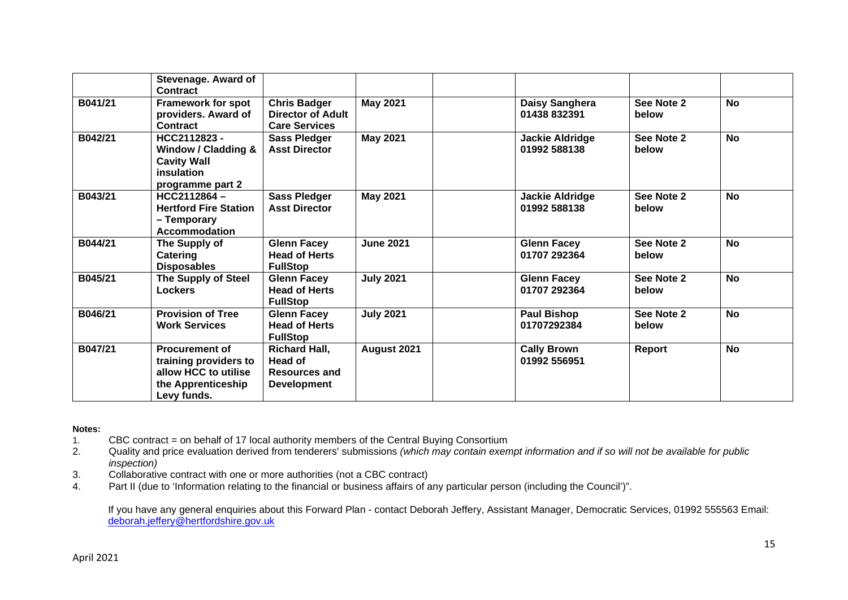|         | Stevenage. Award of<br>Contract                                                                             |                                                                         |                  |                                        |                     |           |
|---------|-------------------------------------------------------------------------------------------------------------|-------------------------------------------------------------------------|------------------|----------------------------------------|---------------------|-----------|
| B041/21 | <b>Framework for spot</b><br>providers. Award of<br>Contract                                                | <b>Chris Badger</b><br><b>Director of Adult</b><br><b>Care Services</b> | <b>May 2021</b>  | Daisy Sanghera<br>01438 832391         | See Note 2<br>below | <b>No</b> |
| B042/21 | HCC2112823-<br>Window / Cladding &<br><b>Cavity Wall</b><br>insulation<br>programme part 2                  | <b>Sass Pledger</b><br><b>Asst Director</b>                             | <b>May 2021</b>  | <b>Jackie Aldridge</b><br>01992 588138 | See Note 2<br>below | <b>No</b> |
| B043/21 | $HCC2112864 -$<br><b>Hertford Fire Station</b><br>- Temporary<br><b>Accommodation</b>                       | <b>Sass Pledger</b><br><b>Asst Director</b>                             | <b>May 2021</b>  | <b>Jackie Aldridge</b><br>01992 588138 | See Note 2<br>below | <b>No</b> |
| B044/21 | The Supply of<br>Catering<br><b>Disposables</b>                                                             | <b>Glenn Facey</b><br><b>Head of Herts</b><br><b>FullStop</b>           | <b>June 2021</b> | <b>Glenn Facey</b><br>01707 292364     | See Note 2<br>below | <b>No</b> |
| B045/21 | <b>The Supply of Steel</b><br><b>Lockers</b>                                                                | <b>Glenn Facey</b><br><b>Head of Herts</b><br><b>FullStop</b>           | <b>July 2021</b> | <b>Glenn Facey</b><br>01707 292364     | See Note 2<br>below | <b>No</b> |
| B046/21 | <b>Provision of Tree</b><br><b>Work Services</b>                                                            | <b>Glenn Facey</b><br><b>Head of Herts</b><br><b>FullStop</b>           | <b>July 2021</b> | <b>Paul Bishop</b><br>01707292384      | See Note 2<br>below | <b>No</b> |
| B047/21 | <b>Procurement of</b><br>training providers to<br>allow HCC to utilise<br>the Apprenticeship<br>Levy funds. | <b>Richard Hall,</b><br>Head of<br>Resources and<br><b>Development</b>  | August 2021      | <b>Cally Brown</b><br>01992 556951     | Report              | <b>No</b> |

### **Notes:**

1. CBC contract = on behalf of 17 local authority members of the Central Buying Consortium<br>2. Quality and price evaluation derived from tenderers' submissions (which may contain exent

2. Quality and price evaluation derived from tenderers' submissions *(which may contain exempt information and if so will not be available for public inspection)*

3. Collaborative contract with one or more authorities (not a CBC contract)

4. Part II (due to 'Information relating to the financial or business affairs of any particular person (including the Council')".

If you have any general enquiries about this Forward Plan - contact Deborah Jeffery, Assistant Manager, Democratic Services, 01992 555563 Email: deborah.jeffery@hertfordshire.gov.uk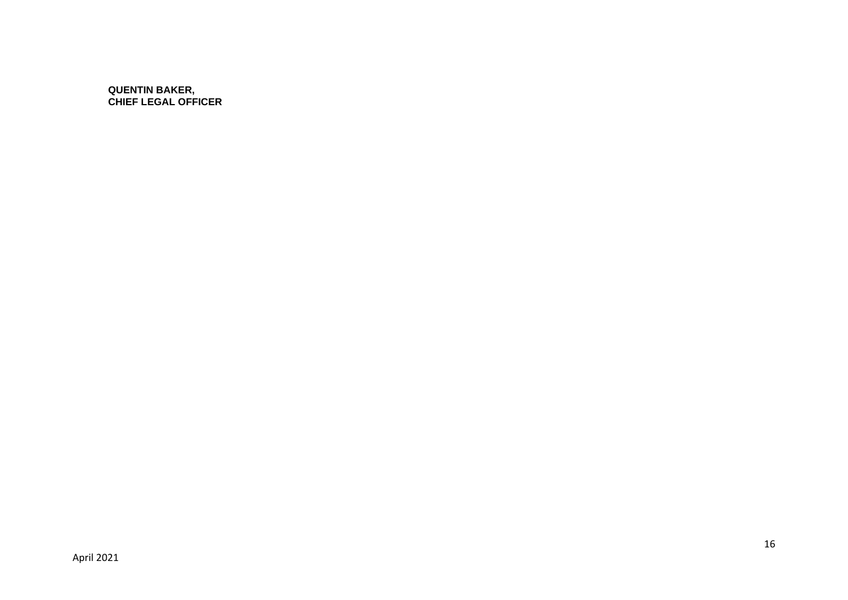**QUENTIN BAKER, CHIEF LEGAL OFFICER**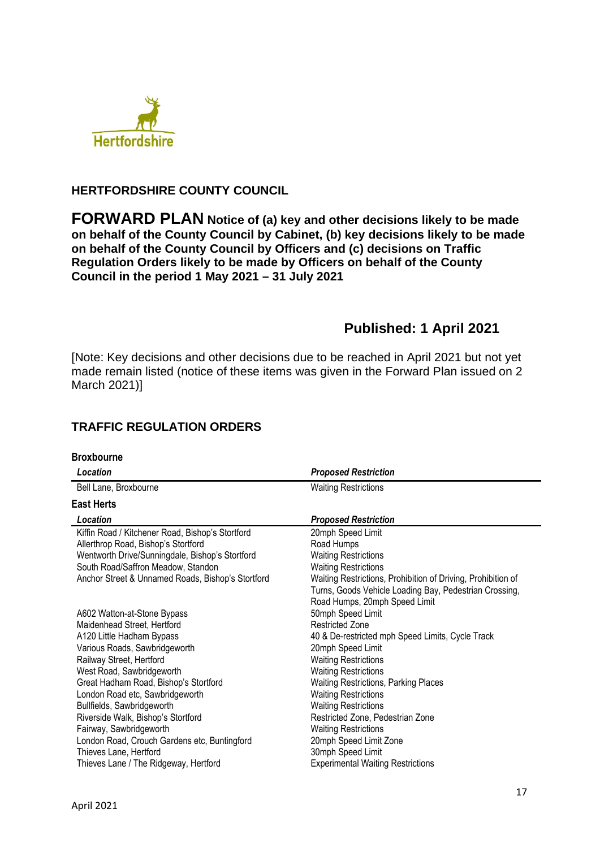

## **HERTFORDSHIRE COUNTY COUNCIL**

**FORWARD PLAN Notice of (a) key and other decisions likely to be made on behalf of the County Council by Cabinet, (b) key decisions likely to be made on behalf of the County Council by Officers and (c) decisions on Traffic Regulation Orders likely to be made by Officers on behalf of the County Council in the period 1 May 2021 – 31 July 2021** 

# **Published: 1 April 2021**

[Note: Key decisions and other decisions due to be reached in April 2021 but not yet made remain listed (notice of these items was given in the Forward Plan issued on 2 March 2021)]

# **TRAFFIC REGULATION ORDERS**

| <b>Broxbourne</b>                                 |                                                              |
|---------------------------------------------------|--------------------------------------------------------------|
| Location                                          | <b>Proposed Restriction</b>                                  |
| Bell Lane, Broxbourne                             | <b>Waiting Restrictions</b>                                  |
| <b>East Herts</b>                                 |                                                              |
| Location                                          | <b>Proposed Restriction</b>                                  |
| Kiffin Road / Kitchener Road, Bishop's Stortford  | 20mph Speed Limit                                            |
| Allerthrop Road, Bishop's Stortford               | Road Humps                                                   |
| Wentworth Drive/Sunningdale, Bishop's Stortford   | <b>Waiting Restrictions</b>                                  |
| South Road/Saffron Meadow, Standon                | <b>Waiting Restrictions</b>                                  |
| Anchor Street & Unnamed Roads, Bishop's Stortford | Waiting Restrictions, Prohibition of Driving, Prohibition of |
|                                                   | Turns, Goods Vehicle Loading Bay, Pedestrian Crossing,       |
|                                                   | Road Humps, 20mph Speed Limit                                |
| A602 Watton-at-Stone Bypass                       | 50mph Speed Limit                                            |
| Maidenhead Street, Hertford                       | <b>Restricted Zone</b>                                       |
| A120 Little Hadham Bypass                         | 40 & De-restricted mph Speed Limits, Cycle Track             |
| Various Roads, Sawbridgeworth                     | 20mph Speed Limit                                            |
| Railway Street, Hertford                          | <b>Waiting Restrictions</b>                                  |
| West Road, Sawbridgeworth                         | <b>Waiting Restrictions</b>                                  |
| Great Hadham Road, Bishop's Stortford             | Waiting Restrictions, Parking Places                         |
| London Road etc, Sawbridgeworth                   | <b>Waiting Restrictions</b>                                  |
| Bullfields, Sawbridgeworth                        | <b>Waiting Restrictions</b>                                  |
| Riverside Walk, Bishop's Stortford                | Restricted Zone, Pedestrian Zone                             |
| Fairway, Sawbridgeworth                           | <b>Waiting Restrictions</b>                                  |
| London Road, Crouch Gardens etc, Buntingford      | 20mph Speed Limit Zone                                       |
| Thieves Lane, Hertford                            | 30mph Speed Limit                                            |
| Thieves Lane / The Ridgeway, Hertford             | <b>Experimental Waiting Restrictions</b>                     |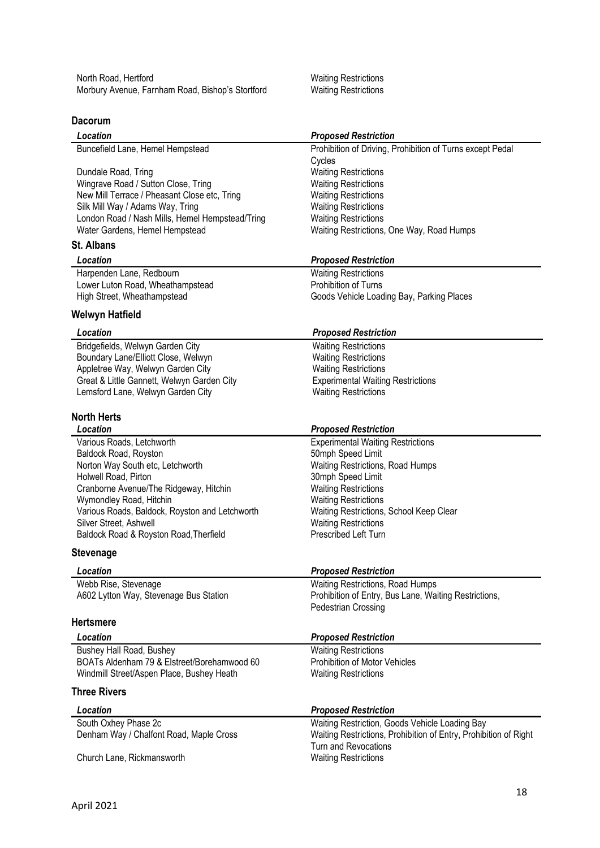North Road, Hertford **Waiting Restrictions** Waiting Restrictions Morbury Avenue, Farnham Road, Bishop's Stortford Waiting Restrictions

## **Dacorum**

| Location                                        | <b>Proposed Restriction</b>                                      |
|-------------------------------------------------|------------------------------------------------------------------|
| Buncefield Lane, Hemel Hempstead                | Prohibition of Driving, Prohibition of Turns except Pedal        |
|                                                 | Cycles                                                           |
| Dundale Road, Tring                             | <b>Waiting Restrictions</b>                                      |
| Wingrave Road / Sutton Close, Tring             | <b>Waiting Restrictions</b>                                      |
| New Mill Terrace / Pheasant Close etc, Tring    | <b>Waiting Restrictions</b>                                      |
| Silk Mill Way / Adams Way, Tring                | <b>Waiting Restrictions</b>                                      |
| London Road / Nash Mills, Hemel Hempstead/Tring | <b>Waiting Restrictions</b>                                      |
| Water Gardens, Hemel Hempstead                  | Waiting Restrictions, One Way, Road Humps                        |
| <b>St. Albans</b>                               |                                                                  |
| Location                                        | <b>Proposed Restriction</b>                                      |
| Harpenden Lane, Redbourn                        | <b>Waiting Restrictions</b>                                      |
| Lower Luton Road, Wheathampstead                | Prohibition of Turns                                             |
| High Street, Wheathampstead                     | Goods Vehicle Loading Bay, Parking Places                        |
| Welwyn Hatfield                                 |                                                                  |
| Location                                        | <b>Proposed Restriction</b>                                      |
| Bridgefields, Welwyn Garden City                | <b>Waiting Restrictions</b>                                      |
| Boundary Lane/Elliott Close, Welwyn             | <b>Waiting Restrictions</b>                                      |
| Appletree Way, Welwyn Garden City               | <b>Waiting Restrictions</b>                                      |
| Great & Little Gannett, Welwyn Garden City      | <b>Experimental Waiting Restrictions</b>                         |
| Lemsford Lane, Welwyn Garden City               | <b>Waiting Restrictions</b>                                      |
|                                                 |                                                                  |
| <b>North Herts</b><br>Location                  |                                                                  |
|                                                 | <b>Proposed Restriction</b>                                      |
| Various Roads, Letchworth                       | <b>Experimental Waiting Restrictions</b>                         |
| Baldock Road, Royston                           | 50mph Speed Limit                                                |
| Norton Way South etc, Letchworth                | Waiting Restrictions, Road Humps                                 |
| Holwell Road, Pirton                            | 30mph Speed Limit                                                |
| Cranborne Avenue/The Ridgeway, Hitchin          | <b>Waiting Restrictions</b>                                      |
| Wymondley Road, Hitchin                         | <b>Waiting Restrictions</b>                                      |
| Various Roads, Baldock, Royston and Letchworth  | Waiting Restrictions, School Keep Clear                          |
| Silver Street, Ashwell                          | <b>Waiting Restrictions</b><br>Prescribed Left Turn              |
| Baldock Road & Royston Road, Therfield          |                                                                  |
| Stevenage                                       |                                                                  |
| Location                                        | <b>Proposed Restriction</b>                                      |
| Webb Rise, Stevenage                            | Waiting Restrictions, Road Humps                                 |
| A602 Lytton Way, Stevenage Bus Station          | Prohibition of Entry, Bus Lane, Waiting Restrictions,            |
|                                                 | <b>Pedestrian Crossing</b>                                       |
| <b>Hertsmere</b>                                |                                                                  |
| Location                                        | <b>Proposed Restriction</b>                                      |
| Bushey Hall Road, Bushey                        | <b>Waiting Restrictions</b>                                      |
| BOATs Aldenham 79 & Elstreet/Borehamwood 60     | <b>Prohibition of Motor Vehicles</b>                             |
| Windmill Street/Aspen Place, Bushey Heath       | <b>Waiting Restrictions</b>                                      |
| <b>Three Rivers</b>                             |                                                                  |
| Location                                        | <b>Proposed Restriction</b>                                      |
| South Oxhey Phase 2c                            | Waiting Restriction, Goods Vehicle Loading Bay                   |
| Denham Way / Chalfont Road, Maple Cross         | Waiting Restrictions, Prohibition of Entry, Prohibition of Right |
|                                                 | <b>Turn and Revocations</b>                                      |
| Church Lane, Rickmansworth                      | <b>Waiting Restrictions</b>                                      |